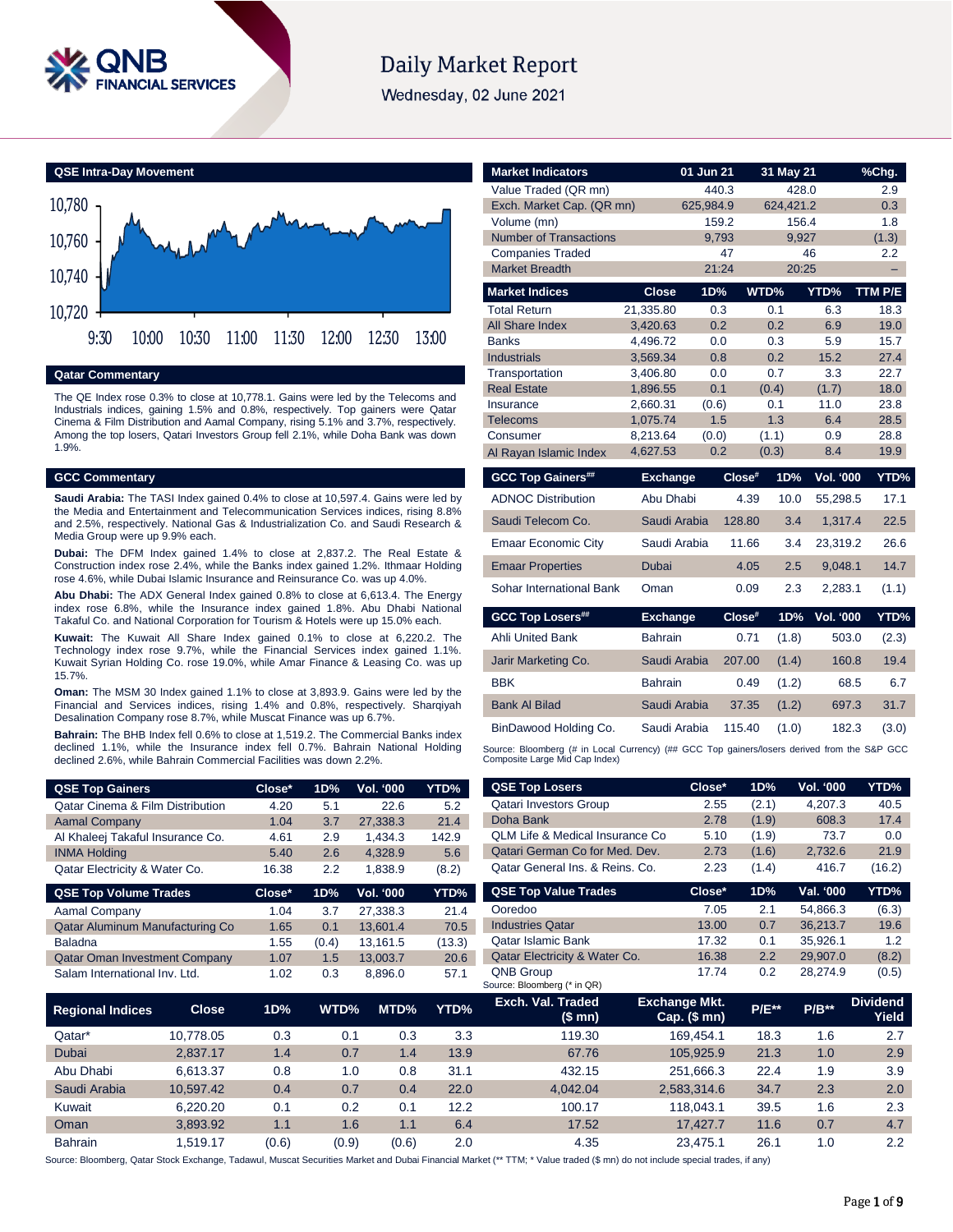

# **Daily Market Report**

Wednesday, 02 June 2021



**Qatar Commentary**

The QE Index rose 0.3% to close at 10,778.1. Gains were led by the Telecoms and Industrials indices, gaining 1.5% and 0.8%, respectively. Top gainers were Qatar Cinema & Film Distribution and Aamal Company, rising 5.1% and 3.7%, respectively. Among the top losers, Qatari Investors Group fell 2.1%, while Doha Bank was down 1.9%.

# **GCC Commentary**

**Saudi Arabia:** The TASI Index gained 0.4% to close at 10,597.4. Gains were led by the Media and Entertainment and Telecommunication Services indices, rising 8.8% and 2.5%, respectively. National Gas & Industrialization Co. and Saudi Research & Media Group were up 9.9% each.

**Dubai:** The DFM Index gained 1.4% to close at 2,837.2. The Real Estate & Construction index rose 2.4%, while the Banks index gained 1.2%. Ithmaar Holding rose 4.6%, while Dubai Islamic Insurance and Reinsurance Co. was up 4.0%.

**Abu Dhabi:** The ADX General Index gained 0.8% to close at 6,613.4. The Energy index rose 6.8%, while the Insurance index gained 1.8%. Abu Dhabi National Takaful Co. and National Corporation for Tourism & Hotels were up 15.0% each.

**Kuwait:** The Kuwait All Share Index gained 0.1% to close at 6,220.2. The Technology index rose 9.7%, while the Financial Services index gained 1.1%. Kuwait Syrian Holding Co. rose 19.0%, while Amar Finance & Leasing Co. was up 15.7%.

**Oman:** The MSM 30 Index gained 1.1% to close at 3,893.9. Gains were led by the Financial and Services indices, rising 1.4% and 0.8%, respectively. Sharqiyah Desalination Company rose 8.7%, while Muscat Finance was up 6.7%.

**Bahrain:** The BHB Index fell 0.6% to close at 1,519.2. The Commercial Banks index declined 1.1%, while the Insurance index fell 0.7%. Bahrain National Holding declined 2.6%, while Bahrain Commercial Facilities was down 2.2%.

| <b>QSE Top Gainers</b>                      | Close* | 1D% | <b>Vol. '000</b> | YTD%  |
|---------------------------------------------|--------|-----|------------------|-------|
| <b>Qatar Cinema &amp; Film Distribution</b> | 4.20   | 5.1 | 22.6             | 5.2   |
| <b>Aamal Company</b>                        | 1.04   | 3.7 | 27.338.3         | 21.4  |
| Al Khaleej Takaful Insurance Co.            | 4.61   | 2.9 | 1.434.3          | 142.9 |
| <b>INMA Holding</b>                         | 5.40   | 2.6 | 4.328.9          | 5.6   |
| Qatar Electricity & Water Co.               | 16.38  | 2.2 | 1.838.9          | (8.2) |

| <b>QSE Top Volume Trades</b>         | Close* | 1D%   | <b>Vol. '000</b> | YTD%   |
|--------------------------------------|--------|-------|------------------|--------|
| Aamal Company                        | 1.04   | 3.7   | 27.338.3         | 21.4   |
| Qatar Aluminum Manufacturing Co      | 1.65   | 0.1   | 13.601.4         | 70.5   |
| <b>Baladna</b>                       | 1.55   | (0.4) | 13,161.5         | (13.3) |
| <b>Qatar Oman Investment Company</b> | 1.07   | 1.5   | 13.003.7         | 20.6   |
| Salam International Inv. Ltd.        | 1.02   | 0.3   | 8.896.0          | 57.1   |

| <b>Market Indicators</b>                                                                                                      |                      | 01 Jun 21 |           | 31 May 21  |             | %Chg.        |  |  |  |
|-------------------------------------------------------------------------------------------------------------------------------|----------------------|-----------|-----------|------------|-------------|--------------|--|--|--|
| Value Traded (QR mn)                                                                                                          |                      |           | 440.3     |            | 428.0       | 2.9          |  |  |  |
| Exch. Market Cap. (QR mn)                                                                                                     |                      | 625,984.9 |           | 624,421.2  |             | 0.3          |  |  |  |
| Volume (mn)                                                                                                                   |                      |           | 159.2     |            | 156.4       | 1.8          |  |  |  |
| <b>Number of Transactions</b>                                                                                                 |                      |           | 9.793     |            | 9.927       | (1.3)        |  |  |  |
| <b>Companies Traded</b><br><b>Market Breadth</b>                                                                              |                      |           | 47        |            | 46          | 2.2          |  |  |  |
|                                                                                                                               |                      |           | 21:24     |            | 20:25       | -            |  |  |  |
| <b>Market Indices</b>                                                                                                         | <b>Close</b>         | 1D%       |           | WTD%       | YTD%        | TTM P/E      |  |  |  |
| <b>Total Return</b>                                                                                                           | 21.335.80            |           | 0.3       | 0.1        | 6.3         | 18.3         |  |  |  |
| <b>All Share Index</b>                                                                                                        | 3,420.63             |           | 0.2       | 0.2        | 6.9         | 19.0         |  |  |  |
| <b>Banks</b>                                                                                                                  | 4.496.72             |           | 0.0       | 0.3        | 5.9         | 15.7         |  |  |  |
| <b>Industrials</b>                                                                                                            | 3,569.34             |           | 0.8       | 0.2        | 15.2        | 27.4         |  |  |  |
| Transportation                                                                                                                | 3,406.80             |           | 0.0       | 0.7        | 3.3         | 22.7         |  |  |  |
| <b>Real Estate</b>                                                                                                            | 1,896.55             |           | 0.1       | (0.4)      | (1.7)       | 18.0         |  |  |  |
| Insurance<br><b>Telecoms</b>                                                                                                  | 2,660.31<br>1,075.74 | (0.6)     | 1.5       | 0.1<br>1.3 | 11.0<br>6.4 | 23.8<br>28.5 |  |  |  |
| Consumer                                                                                                                      | 8,213.64             | (0.0)     |           | (1.1)      | 0.9         | 28.8         |  |  |  |
| Al Ravan Islamic Index                                                                                                        | 4,627.53             |           | 0.2       | (0.3)      | 8.4         | 19.9         |  |  |  |
|                                                                                                                               |                      |           |           |            |             |              |  |  |  |
| <b>GCC Top Gainers##</b>                                                                                                      | <b>Exchange</b>      |           | Close#    | 1D%        | Vol. '000   | YTD%         |  |  |  |
| <b>ADNOC Distribution</b>                                                                                                     | Abu Dhabi            |           | 4.39      | 10.0       | 55.298.5    | 17.1         |  |  |  |
| Saudi Telecom Co.                                                                                                             | Saudi Arabia         |           | 128.80    | 3.4        | 1,317.4     | 22.5         |  |  |  |
| <b>Emaar Economic City</b>                                                                                                    | Saudi Arabia         |           | 11.66     | 3.4        | 23.319.2    | 26.6         |  |  |  |
| <b>Emaar Properties</b>                                                                                                       | Dubai                |           | 4.05      | 2.5        | 9,048.1     | 14.7         |  |  |  |
| Sohar International Bank                                                                                                      | Oman                 |           | 0.09      | 2.3        | 2,283.1     | (1.1)        |  |  |  |
| <b>GCC Top Losers##</b>                                                                                                       | <b>Exchange</b>      |           | $Close^*$ | 1D%        | Vol. '000   | YTD%         |  |  |  |
| <b>Ahli United Bank</b>                                                                                                       | <b>Bahrain</b>       |           | 0.71      | (1.8)      | 503.0       | (2.3)        |  |  |  |
| Jarir Marketing Co.                                                                                                           | Saudi Arabia         |           | 207.00    | (1.4)      | 160.8       | 19.4         |  |  |  |
| <b>BBK</b>                                                                                                                    | <b>Bahrain</b>       |           | 0.49      | (1.2)      | 68.5        | 6.7          |  |  |  |
| <b>Bank Al Bilad</b>                                                                                                          | Saudi Arabia         |           | 37.35     | (1.2)      | 697.3       | 31.7         |  |  |  |
| BinDawood Holding Co.                                                                                                         | Saudi Arabia         |           | 115.40    | (1.0)      | 182.3       | (3.0)        |  |  |  |
| Source: Bloomberg (# in Local Currency) (## GCC Top gainers/losers derived from the S&P GCC<br>Composite Large Mid Cap Index) |                      |           |           |            |             |              |  |  |  |
| <b>QSE Top Losers</b>                                                                                                         |                      | Close*    |           | 1D%        | Vol. '000   | YTD%         |  |  |  |

| <b>QSE Top Losers</b>           | Close* | 1D%   | <b>Vol. '000</b> | YTD%   |
|---------------------------------|--------|-------|------------------|--------|
| <b>Qatari Investors Group</b>   | 2.55   | (2.1) | 4.207.3          | 40.5   |
| Doha Bank                       | 2.78   | (1.9) | 608.3            | 17.4   |
| QLM Life & Medical Insurance Co | 5.10   | (1.9) | 73.7             | 0.0    |
| Qatari German Co for Med. Dev.  | 2.73   | (1.6) | 2,732.6          | 21.9   |
| Qatar General Ins. & Reins. Co. | 2.23   | (1.4) | 416.7            | (16.2) |

| <b>QSE Top Value Trades</b>                     | Close* | 1D% | Val. '000 | YTD%  |
|-------------------------------------------------|--------|-----|-----------|-------|
| Ooredoo                                         | 7.05   | 2.1 | 54,866.3  | (6.3) |
| <b>Industries Qatar</b>                         | 13.00  | 0.7 | 36.213.7  | 19.6  |
| <b>Qatar Islamic Bank</b>                       | 17.32  | 0.1 | 35.926.1  | 1.2   |
| Qatar Electricity & Water Co.                   | 16.38  | 2.2 | 29.907.0  | (8.2) |
| <b>QNB Group</b><br>Source: Bloomberg (* in QR) | 17.74  | 0.2 | 28.274.9  | (0.5) |

| <b>Regional Indices</b> | <b>Close</b> | 1D%   | WTD%  | MTD%  | YTD% | Exch. Val. Traded<br>(\$ mn) | <b>Exchange Mkt.</b><br>$Cap.$ (\$ mn) | <b>P/E**</b> | $P/B**$ | <b>Dividend</b><br>Yield <b>Y</b> |
|-------------------------|--------------|-------|-------|-------|------|------------------------------|----------------------------------------|--------------|---------|-----------------------------------|
| Qatar*                  | 10.778.05    | 0.3   | 0.1   | 0.3   | 3.3  | 119.30                       | 169.454.1                              | 18.3         | 1.6     | 2.7                               |
| Dubai                   | 2.837.17     | 1.4   | 0.7   | 1.4   | 13.9 | 67.76                        | 105.925.9                              | 21.3         | 1.0     | 2.9                               |
| Abu Dhabi               | 6.613.37     | 0.8   | 1.0   | 0.8   | 31.1 | 432.15                       | 251.666.3                              | 22.4         | 1.9     | 3.9                               |
| Saudi Arabia            | 10.597.42    | 0.4   | 0.7   | 0.4   | 22.0 | 4.042.04                     | 2.583.314.6                            | 34.7         | 2.3     | 2.0                               |
| Kuwait                  | 6.220.20     | 0.1   | 0.2   | 0.1   | 12.2 | 100.17                       | 118.043.1                              | 39.5         | 1.6     | 2.3                               |
| Oman                    | 3.893.92     | 1.1   | 1.6   | 1.1   | 6.4  | 17.52                        | 17.427.7                               | 11.6         | 0.7     | 4.7                               |
| <b>Bahrain</b>          | 1.519.17     | (0.6) | (0.9) | (0.6) | 2.0  | 4.35                         | 23.475.1                               | 26.1         | 1.0     | 2.2                               |

Source: Bloomberg, Qatar Stock Exchange, Tadawul, Muscat Securities Market and Dubai Financial Market (\*\* TTM; \* Value traded (\$ mn) do not include special trades, if any)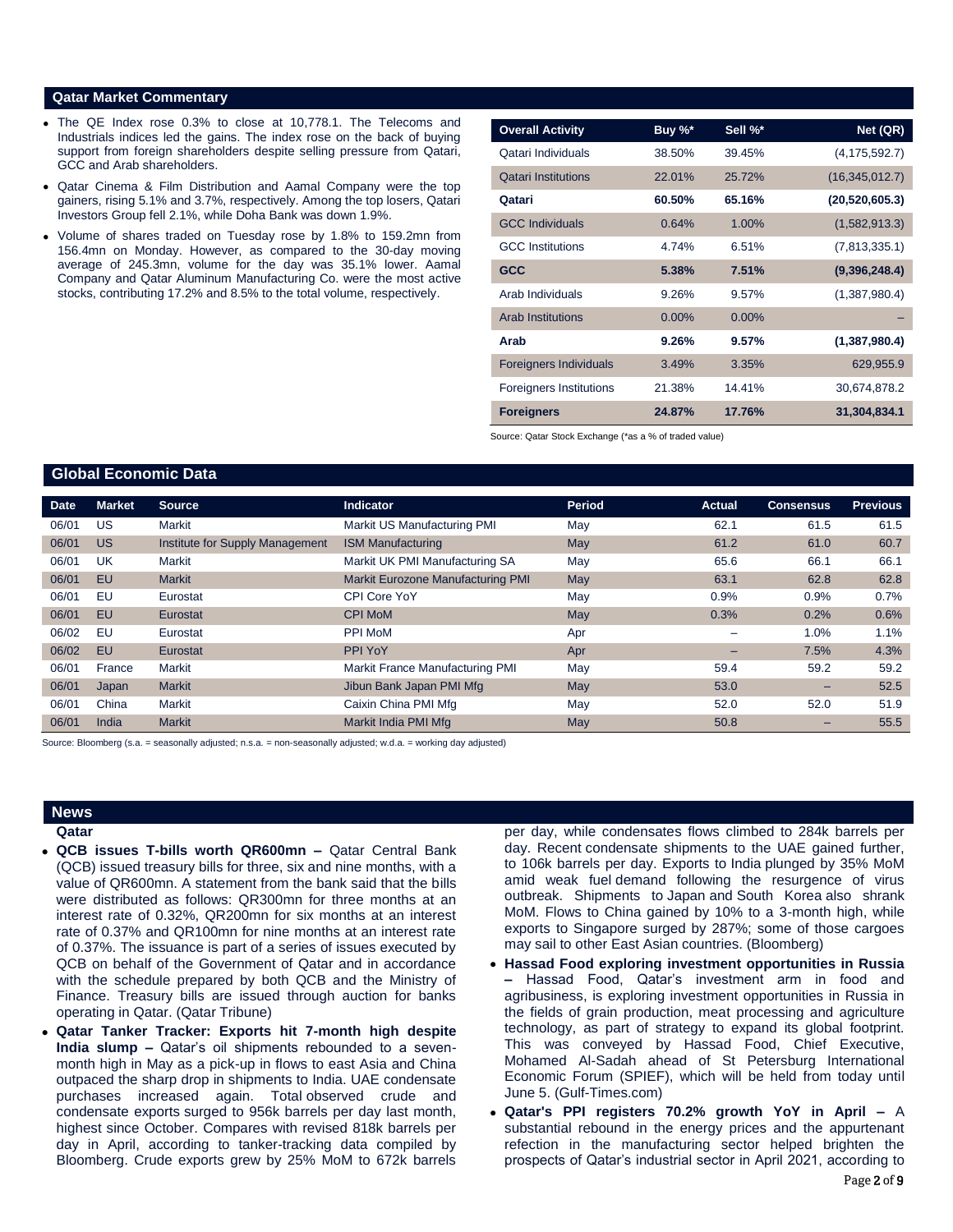### **Qatar Market Commentary**

- The QE Index rose 0.3% to close at 10,778.1. The Telecoms and Industrials indices led the gains. The index rose on the back of buying support from foreign shareholders despite selling pressure from Qatari, GCC and Arab shareholders.
- Qatar Cinema & Film Distribution and Aamal Company were the top gainers, rising 5.1% and 3.7%, respectively. Among the top losers, Qatari Investors Group fell 2.1%, while Doha Bank was down 1.9%.
- Volume of shares traded on Tuesday rose by 1.8% to 159.2mn from 156.4mn on Monday. However, as compared to the 30-day moving average of 245.3mn, volume for the day was 35.1% lower. Aamal Company and Qatar Aluminum Manufacturing Co. were the most active stocks, contributing 17.2% and 8.5% to the total volume, respectively.

| <b>Overall Activity</b>        | Buy %*   | Sell %*  | Net (QR)         |
|--------------------------------|----------|----------|------------------|
| Qatari Individuals             | 38.50%   | 39.45%   | (4, 175, 592.7)  |
| <b>Qatari Institutions</b>     | 22.01%   | 25.72%   | (16, 345, 012.7) |
| Qatari                         | 60.50%   | 65.16%   | (20, 520, 605.3) |
| <b>GCC Individuals</b>         | 0.64%    | $1.00\%$ | (1,582,913.3)    |
| <b>GCC</b> Institutions        | 4.74%    | 6.51%    | (7,813,335.1)    |
| <b>GCC</b>                     | 5.38%    | 7.51%    | (9,396,248.4)    |
| Arab Individuals               | 9.26%    | 9.57%    | (1,387,980.4)    |
| <b>Arab Institutions</b>       | $0.00\%$ | $0.00\%$ |                  |
| Arab                           | 9.26%    | 9.57%    | (1,387,980.4)    |
| <b>Foreigners Individuals</b>  | 3.49%    | 3.35%    | 629,955.9        |
| <b>Foreigners Institutions</b> | 21.38%   | 14.41%   | 30,674,878.2     |
| <b>Foreigners</b>              | 24.87%   | 17.76%   | 31,304,834.1     |

Source: Qatar Stock Exchange (\*as a % of traded value)

# **Global Economic Data**

| <b>Date</b> | <b>Market</b> | <b>Source</b>                   | <b>Indicator</b>                  | Period | Actual | <b>Consensus</b> | <b>Previous</b> |
|-------------|---------------|---------------------------------|-----------------------------------|--------|--------|------------------|-----------------|
| 06/01       | US            | Markit                          | Markit US Manufacturing PMI       | May    | 62.1   | 61.5             | 61.5            |
| 06/01       | <b>US</b>     | Institute for Supply Management | <b>ISM Manufacturing</b>          | May    | 61.2   | 61.0             | 60.7            |
| 06/01       | UK            | <b>Markit</b>                   | Markit UK PMI Manufacturing SA    | May    | 65.6   | 66.1             | 66.1            |
| 06/01       | <b>EU</b>     | <b>Markit</b>                   | Markit Eurozone Manufacturing PMI | May    | 63.1   | 62.8             | 62.8            |
| 06/01       | EU            | Eurostat                        | CPI Core YoY                      | May    | 0.9%   | 0.9%             | 0.7%            |
| 06/01       | <b>EU</b>     | Eurostat                        | <b>CPI MoM</b>                    | May    | 0.3%   | 0.2%             | 0.6%            |
| 06/02       | EU            | Eurostat                        | PPI MoM                           | Apr    | -      | 1.0%             | 1.1%            |
| 06/02       | <b>EU</b>     | Eurostat                        | PPI YoY                           | Apr    |        | 7.5%             | 4.3%            |
| 06/01       | France        | Markit                          | Markit France Manufacturing PMI   | May    | 59.4   | 59.2             | 59.2            |
| 06/01       | Japan         | <b>Markit</b>                   | Jibun Bank Japan PMI Mfg          | May    | 53.0   | -                | 52.5            |
| 06/01       | China         | Markit                          | Caixin China PMI Mfg              | May    | 52.0   | 52.0             | 51.9            |
| 06/01       | India         | <b>Markit</b>                   | Markit India PMI Mfg              | May    | 50.8   |                  | 55.5            |

Source: Bloomberg (s.a. = seasonally adjusted; n.s.a. = non-seasonally adjusted; w.d.a. = working day adjusted)

### **News**

### **Qatar**

- **QCB issues T-bills worth QR600mn –** Qatar Central Bank (QCB) issued treasury bills for three, six and nine months, with a value of QR600mn. A statement from the bank said that the bills were distributed as follows: QR300mn for three months at an interest rate of 0.32%, QR200mn for six months at an interest rate of 0.37% and QR100mn for nine months at an interest rate of 0.37%. The issuance is part of a series of issues executed by QCB on behalf of the Government of Qatar and in accordance with the schedule prepared by both QCB and the Ministry of Finance. Treasury bills are issued through auction for banks operating in Qatar. (Qatar Tribune)
- **Qatar Tanker Tracker: Exports hit 7-month high despite India slump –** Qatar's oil shipments rebounded to a sevenmonth high in May as a pick-up in flows to east Asia and China outpaced the sharp drop in shipments to India. UAE condensate purchases increased again. Total observed crude and condensate exports surged to 956k barrels per day last month, highest since October. Compares with revised 818k barrels per day in April, according to tanker-tracking data compiled by Bloomberg. Crude exports grew by 25% MoM to 672k barrels

per day, while condensates flows climbed to 284k barrels per day. Recent condensate shipments to the UAE gained further, to 106k barrels per day. Exports to India plunged by 35% MoM amid weak fuel demand following the resurgence of virus outbreak. Shipments to Japan and South Korea also shrank MoM. Flows to China gained by 10% to a 3-month high, while exports to Singapore surged by 287%; some of those cargoes may sail to other East Asian countries. (Bloomberg)

- **Hassad Food exploring investment opportunities in Russia –** Hassad Food, Qatar's investment arm in food and agribusiness, is exploring investment opportunities in Russia in the fields of grain production, meat processing and agriculture technology, as part of strategy to expand its global footprint. This was conveyed by Hassad Food, Chief Executive, Mohamed Al-Sadah ahead of St Petersburg International Economic Forum (SPIEF), which will be held from today until June 5. (Gulf-Times.com)
- **Qatar's PPI registers 70.2% growth YoY in April –** A substantial rebound in the energy prices and the appurtenant refection in the manufacturing sector helped brighten the prospects of Qatar's industrial sector in April 2021, according to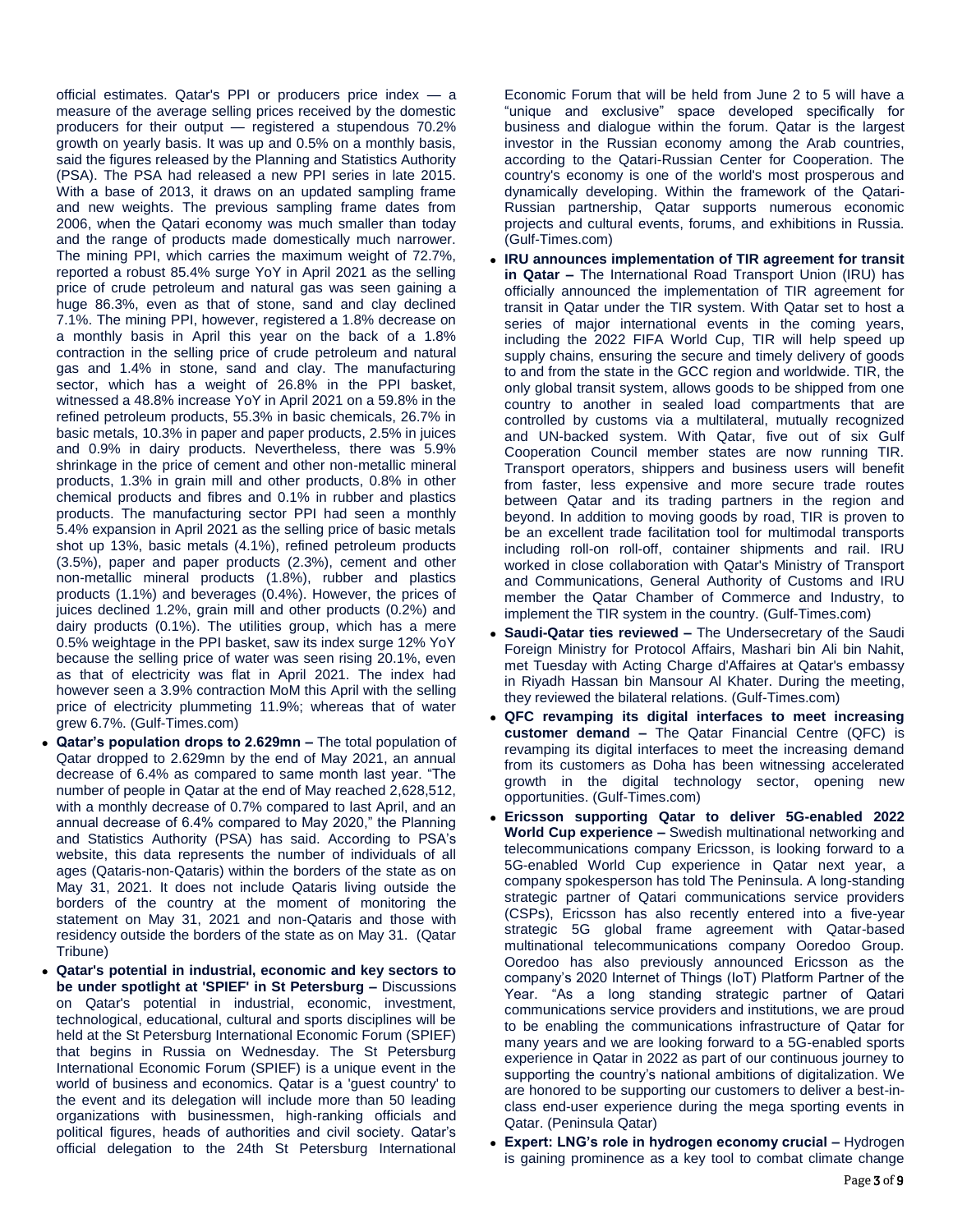official estimates. Qatar's PPI or producers price index — a measure of the average selling prices received by the domestic producers for their output — registered a stupendous 70.2% growth on yearly basis. It was up and 0.5% on a monthly basis, said the figures released by the Planning and Statistics Authority (PSA). The PSA had released a new PPI series in late 2015. With a base of 2013, it draws on an updated sampling frame and new weights. The previous sampling frame dates from 2006, when the Qatari economy was much smaller than today and the range of products made domestically much narrower. The mining PPI, which carries the maximum weight of 72.7%, reported a robust 85.4% surge YoY in April 2021 as the selling price of crude petroleum and natural gas was seen gaining a huge 86.3%, even as that of stone, sand and clay declined 7.1%. The mining PPI, however, registered a 1.8% decrease on a monthly basis in April this year on the back of a 1.8% contraction in the selling price of crude petroleum and natural gas and 1.4% in stone, sand and clay. The manufacturing sector, which has a weight of 26.8% in the PPI basket, witnessed a 48.8% increase YoY in April 2021 on a 59.8% in the refined petroleum products, 55.3% in basic chemicals, 26.7% in basic metals, 10.3% in paper and paper products, 2.5% in juices and 0.9% in dairy products. Nevertheless, there was 5.9% shrinkage in the price of cement and other non-metallic mineral products, 1.3% in grain mill and other products, 0.8% in other chemical products and fibres and 0.1% in rubber and plastics products. The manufacturing sector PPI had seen a monthly 5.4% expansion in April 2021 as the selling price of basic metals shot up 13%, basic metals (4.1%), refined petroleum products (3.5%), paper and paper products (2.3%), cement and other non-metallic mineral products (1.8%), rubber and plastics products (1.1%) and beverages (0.4%). However, the prices of juices declined 1.2%, grain mill and other products (0.2%) and dairy products (0.1%). The utilities group, which has a mere 0.5% weightage in the PPI basket, saw its index surge 12% YoY because the selling price of water was seen rising 20.1%, even as that of electricity was flat in April 2021. The index had however seen a 3.9% contraction MoM this April with the selling price of electricity plummeting 11.9%; whereas that of water grew 6.7%. (Gulf-Times.com)

- **Qatar's population drops to 2.629mn –** The total population of Qatar dropped to 2.629mn by the end of May 2021, an annual decrease of 6.4% as compared to same month last year. "The number of people in Qatar at the end of May reached 2,628,512, with a monthly decrease of 0.7% compared to last April, and an annual decrease of 6.4% compared to May 2020," the Planning and Statistics Authority (PSA) has said. According to PSA's website, this data represents the number of individuals of all ages (Qataris-non-Qataris) within the borders of the state as on May 31, 2021. It does not include Qataris living outside the borders of the country at the moment of monitoring the statement on May 31, 2021 and non-Qataris and those with residency outside the borders of the state as on May 31. (Qatar Tribune)
- **Qatar's potential in industrial, economic and key sectors to be under spotlight at 'SPIEF' in St Petersburg –** Discussions on Qatar's potential in industrial, economic, investment, technological, educational, cultural and sports disciplines will be held at the St Petersburg International Economic Forum (SPIEF) that begins in Russia on Wednesday. The St Petersburg International Economic Forum (SPIEF) is a unique event in the world of business and economics. Qatar is a 'guest country' to the event and its delegation will include more than 50 leading organizations with businessmen, high-ranking officials and political figures, heads of authorities and civil society. Qatar's official delegation to the 24th St Petersburg International

Economic Forum that will be held from June 2 to 5 will have a "unique and exclusive" space developed specifically for business and dialogue within the forum. Qatar is the largest investor in the Russian economy among the Arab countries, according to the Qatari-Russian Center for Cooperation. The country's economy is one of the world's most prosperous and dynamically developing. Within the framework of the Qatari-Russian partnership, Qatar supports numerous economic projects and cultural events, forums, and exhibitions in Russia. (Gulf-Times.com)

- **IRU announces implementation of TIR agreement for transit in Qatar –** The International Road Transport Union (IRU) has officially announced the implementation of TIR agreement for transit in Qatar under the TIR system. With Qatar set to host a series of major international events in the coming years, including the 2022 FIFA World Cup, TIR will help speed up supply chains, ensuring the secure and timely delivery of goods to and from the state in the GCC region and worldwide. TIR, the only global transit system, allows goods to be shipped from one country to another in sealed load compartments that are controlled by customs via a multilateral, mutually recognized and UN-backed system. With Qatar, five out of six Gulf Cooperation Council member states are now running TIR. Transport operators, shippers and business users will benefit from faster, less expensive and more secure trade routes between Qatar and its trading partners in the region and beyond. In addition to moving goods by road, TIR is proven to be an excellent trade facilitation tool for multimodal transports including roll-on roll-off, container shipments and rail. IRU worked in close collaboration with Qatar's Ministry of Transport and Communications, General Authority of Customs and IRU member the Qatar Chamber of Commerce and Industry, to implement the TIR system in the country. (Gulf-Times.com)
- **Saudi-Qatar ties reviewed –** The Undersecretary of the Saudi Foreign Ministry for Protocol Affairs, Mashari bin Ali bin Nahit, met Tuesday with Acting Charge d'Affaires at Qatar's embassy in Riyadh Hassan bin Mansour Al Khater. During the meeting, they reviewed the bilateral relations. (Gulf-Times.com)
- **QFC revamping its digital interfaces to meet increasing customer demand –** The Qatar Financial Centre (QFC) is revamping its digital interfaces to meet the increasing demand from its customers as Doha has been witnessing accelerated growth in the digital technology sector, opening new opportunities. (Gulf-Times.com)
- **Ericsson supporting Qatar to deliver 5G-enabled 2022 World Cup experience –** Swedish multinational networking and telecommunications company Ericsson, is looking forward to a 5G-enabled World Cup experience in Qatar next year, a company spokesperson has told The Peninsula. A long-standing strategic partner of Qatari communications service providers (CSPs), Ericsson has also recently entered into a five-year strategic 5G global frame agreement with Qatar-based multinational telecommunications company Ooredoo Group. Ooredoo has also previously announced Ericsson as the company's 2020 Internet of Things (IoT) Platform Partner of the Year. "As a long standing strategic partner of Qatari communications service providers and institutions, we are proud to be enabling the communications infrastructure of Qatar for many years and we are looking forward to a 5G-enabled sports experience in Qatar in 2022 as part of our continuous journey to supporting the country's national ambitions of digitalization. We are honored to be supporting our customers to deliver a best-inclass end-user experience during the mega sporting events in Qatar. (Peninsula Qatar)
- **Expert: LNG's role in hydrogen economy crucial –** Hydrogen is gaining prominence as a key tool to combat climate change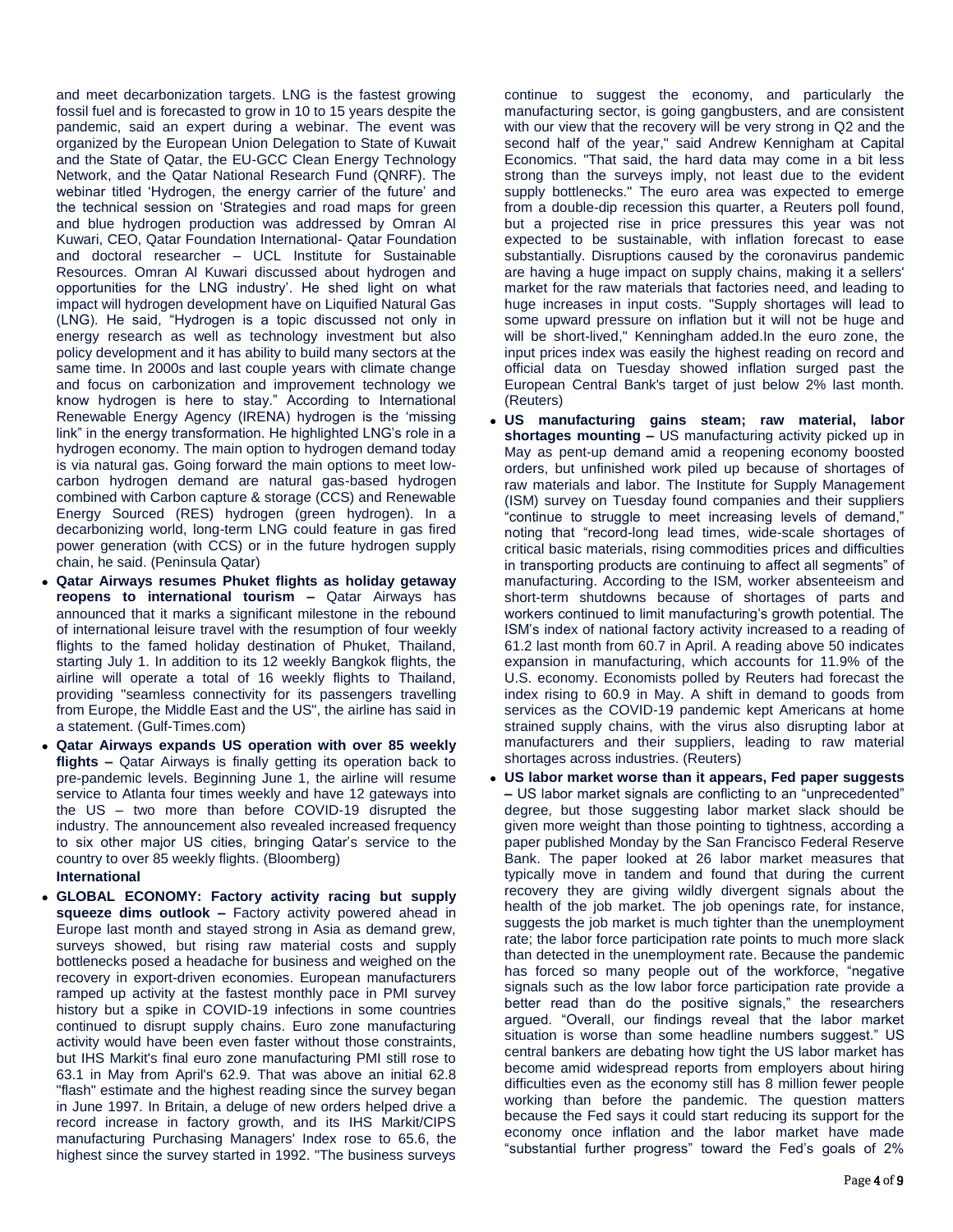and meet decarbonization targets. LNG is the fastest growing fossil fuel and is forecasted to grow in 10 to 15 years despite the pandemic, said an expert during a webinar. The event was organized by the European Union Delegation to State of Kuwait and the State of Qatar, the EU-GCC Clean Energy Technology Network, and the Qatar National Research Fund (QNRF). The webinar titled 'Hydrogen, the energy carrier of the future' and the technical session on 'Strategies and road maps for green and blue hydrogen production was addressed by Omran Al Kuwari, CEO, Qatar Foundation International- Qatar Foundation and doctoral researcher – UCL Institute for Sustainable Resources. Omran Al Kuwari discussed about hydrogen and opportunities for the LNG industry'. He shed light on what impact will hydrogen development have on Liquified Natural Gas (LNG). He said, "Hydrogen is a topic discussed not only in energy research as well as technology investment but also policy development and it has ability to build many sectors at the same time. In 2000s and last couple years with climate change and focus on carbonization and improvement technology we know hydrogen is here to stay." According to International Renewable Energy Agency (IRENA) hydrogen is the 'missing link" in the energy transformation. He highlighted LNG's role in a hydrogen economy. The main option to hydrogen demand today is via natural gas. Going forward the main options to meet lowcarbon hydrogen demand are natural gas-based hydrogen combined with Carbon capture & storage (CCS) and Renewable Energy Sourced (RES) hydrogen (green hydrogen). In a decarbonizing world, long-term LNG could feature in gas fired power generation (with CCS) or in the future hydrogen supply chain, he said. (Peninsula Qatar)

- **Qatar Airways resumes Phuket flights as holiday getaway reopens to international tourism –** Qatar Airways has announced that it marks a significant milestone in the rebound of international leisure travel with the resumption of four weekly flights to the famed holiday destination of Phuket, Thailand, starting July 1. In addition to its 12 weekly Bangkok flights, the airline will operate a total of 16 weekly flights to Thailand, providing "seamless connectivity for its passengers travelling from Europe, the Middle East and the US", the airline has said in a statement. (Gulf-Times.com)
- **Qatar Airways expands US operation with over 85 weekly flights –** Qatar Airways is finally getting its operation back to pre-pandemic levels. Beginning June 1, the airline will resume service to Atlanta four times weekly and have 12 gateways into the US – two more than before COVID-19 disrupted the industry. The announcement also revealed increased frequency to six other major US cities, bringing Qatar's service to the country to over 85 weekly flights. (Bloomberg)
	- **International**
- **GLOBAL ECONOMY: Factory activity racing but supply squeeze dims outlook –** Factory activity powered ahead in Europe last month and stayed strong in Asia as demand grew, surveys showed, but rising raw material costs and supply bottlenecks posed a headache for business and weighed on the recovery in export-driven economies. European manufacturers ramped up activity at the fastest monthly pace in PMI survey history but a spike in COVID-19 infections in some countries continued to disrupt supply chains. Euro zone manufacturing activity would have been even faster without those constraints, but IHS Markit's final euro zone manufacturing PMI still rose to 63.1 in May from April's 62.9. That was above an initial 62.8 "flash" estimate and the highest reading since the survey began in June 1997. In Britain, a deluge of new orders helped drive a record increase in factory growth, and its IHS Markit/CIPS manufacturing Purchasing Managers' Index rose to 65.6, the highest since the survey started in 1992. "The business surveys

continue to suggest the economy, and particularly the manufacturing sector, is going gangbusters, and are consistent with our view that the recovery will be very strong in Q2 and the second half of the year," said Andrew Kennigham at Capital Economics. "That said, the hard data may come in a bit less strong than the surveys imply, not least due to the evident supply bottlenecks." The euro area was expected to emerge from a double-dip recession this quarter, a Reuters poll found, but a projected rise in price pressures this year was not expected to be sustainable, with inflation forecast to ease substantially. Disruptions caused by the coronavirus pandemic are having a huge impact on supply chains, making it a sellers' market for the raw materials that factories need, and leading to huge increases in input costs. "Supply shortages will lead to some upward pressure on inflation but it will not be huge and will be short-lived," Kenningham added.In the euro zone, the input prices index was easily the highest reading on record and official data on Tuesday showed inflation surged past the European Central Bank's target of just below 2% last month. (Reuters)

- **US manufacturing gains steam; raw material, labor shortages mounting –** US manufacturing activity picked up in May as pent-up demand amid a reopening economy boosted orders, but unfinished work piled up because of shortages of raw materials and labor. The Institute for Supply Management (ISM) survey on Tuesday found companies and their suppliers "continue to struggle to meet increasing levels of demand," noting that "record-long lead times, wide-scale shortages of critical basic materials, rising commodities prices and difficulties in transporting products are continuing to affect all segments" of manufacturing. According to the ISM, worker absenteeism and short-term shutdowns because of shortages of parts and workers continued to limit manufacturing's growth potential. The ISM's index of national factory activity increased to a reading of 61.2 last month from 60.7 in April. A reading above 50 indicates expansion in manufacturing, which accounts for 11.9% of the U.S. economy. Economists polled by Reuters had forecast the index rising to 60.9 in May. A shift in demand to goods from services as the COVID-19 pandemic kept Americans at home strained supply chains, with the virus also disrupting labor at manufacturers and their suppliers, leading to raw material shortages across industries. (Reuters)
- **US labor market worse than it appears, Fed paper suggests –** US labor market signals are conflicting to an "unprecedented" degree, but those suggesting labor market slack should be given more weight than those pointing to tightness, according a paper published Monday by the San Francisco Federal Reserve Bank. The paper looked at 26 labor market measures that typically move in tandem and found that during the current recovery they are giving wildly divergent signals about the health of the job market. The job openings rate, for instance, suggests the job market is much tighter than the unemployment rate; the labor force participation rate points to much more slack than detected in the unemployment rate. Because the pandemic has forced so many people out of the workforce, "negative signals such as the low labor force participation rate provide a better read than do the positive signals," the researchers argued. "Overall, our findings reveal that the labor market situation is worse than some headline numbers suggest." US central bankers are debating how tight the US labor market has become amid widespread reports from employers about hiring difficulties even as the economy still has 8 million fewer people working than before the pandemic. The question matters because the Fed says it could start reducing its support for the economy once inflation and the labor market have made "substantial further progress" toward the Fed's goals of 2%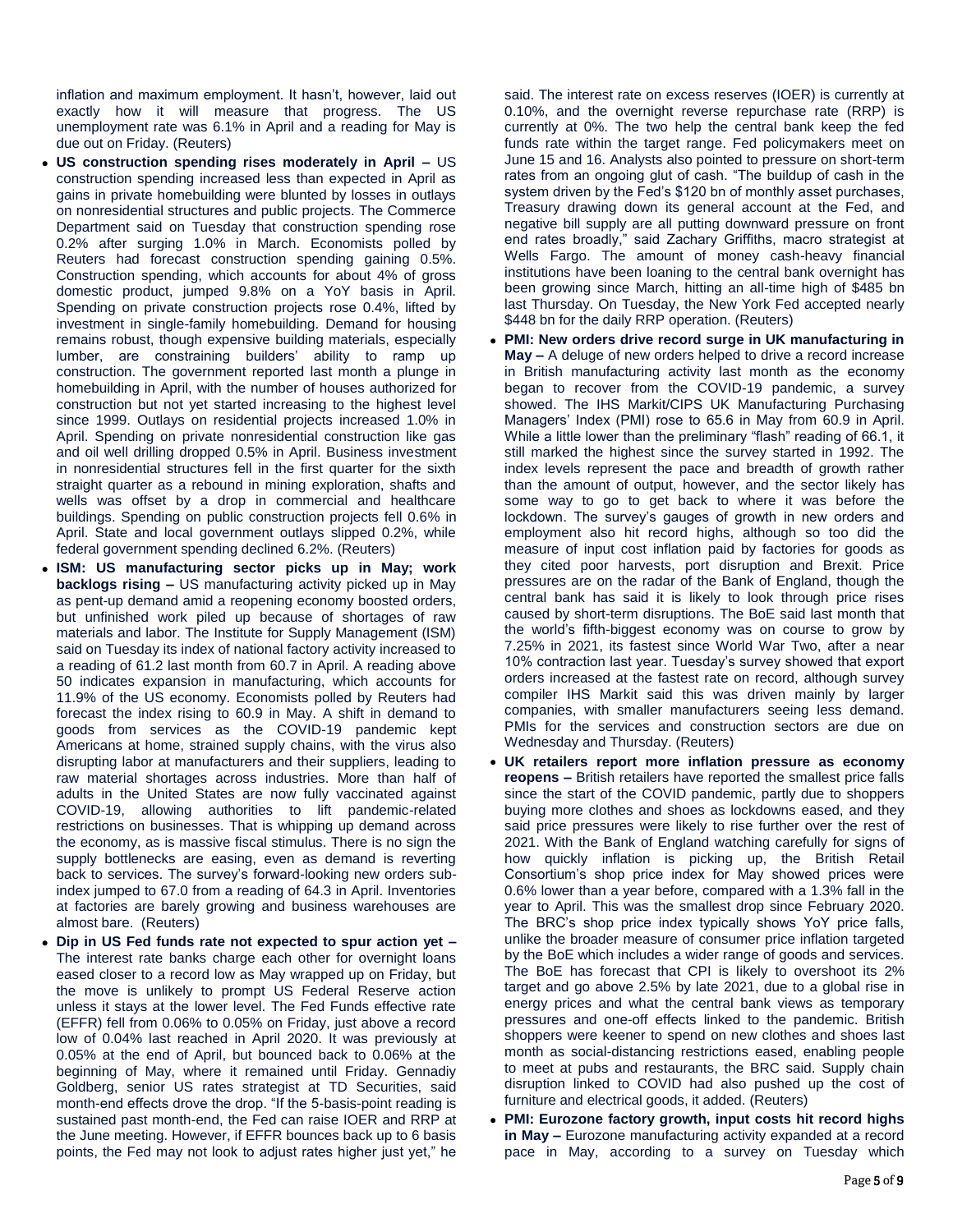inflation and maximum employment. It hasn't, however, laid out exactly how it will measure that progress. The US unemployment rate was 6.1% in April and a reading for May is due out on Friday. (Reuters)

- **US construction spending rises moderately in April –** US construction spending increased less than expected in April as gains in private homebuilding were blunted by losses in outlays on nonresidential structures and public projects. The Commerce Department said on Tuesday that construction spending rose 0.2% after surging 1.0% in March. Economists polled by Reuters had forecast construction spending gaining 0.5%. Construction spending, which accounts for about 4% of gross domestic product, jumped 9.8% on a YoY basis in April. Spending on private construction projects rose 0.4%, lifted by investment in single-family homebuilding. Demand for housing remains robust, though expensive building materials, especially lumber, are constraining builders' ability to ramp up construction. The government reported last month a plunge in homebuilding in April, with the number of houses authorized for construction but not yet started increasing to the highest level since 1999. Outlays on residential projects increased 1.0% in April. Spending on private nonresidential construction like gas and oil well drilling dropped 0.5% in April. Business investment in nonresidential structures fell in the first quarter for the sixth straight quarter as a rebound in mining exploration, shafts and wells was offset by a drop in commercial and healthcare buildings. Spending on public construction projects fell 0.6% in April. State and local government outlays slipped 0.2%, while federal government spending declined 6.2%. (Reuters)
- **ISM: US manufacturing sector picks up in May; work backlogs rising –** US manufacturing activity picked up in May as pent-up demand amid a reopening economy boosted orders, but unfinished work piled up because of shortages of raw materials and labor. The Institute for Supply Management (ISM) said on Tuesday its index of national factory activity increased to a reading of 61.2 last month from 60.7 in April. A reading above 50 indicates expansion in manufacturing, which accounts for 11.9% of the US economy. Economists polled by Reuters had forecast the index rising to 60.9 in May. A shift in demand to goods from services as the COVID-19 pandemic kept Americans at home, strained supply chains, with the virus also disrupting labor at manufacturers and their suppliers, leading to raw material shortages across industries. More than half of adults in the United States are now fully vaccinated against COVID-19, allowing authorities to lift pandemic-related restrictions on businesses. That is whipping up demand across the economy, as is massive fiscal stimulus. There is no sign the supply bottlenecks are easing, even as demand is reverting back to services. The survey's forward-looking new orders subindex jumped to 67.0 from a reading of 64.3 in April. Inventories at factories are barely growing and business warehouses are almost bare. (Reuters)
- **Dip in US Fed funds rate not expected to spur action yet –** The interest rate banks charge each other for overnight loans eased closer to a record low as May wrapped up on Friday, but the move is unlikely to prompt US Federal Reserve action unless it stays at the lower level. The Fed Funds effective rate (EFFR) fell from 0.06% to 0.05% on Friday, just above a record low of 0.04% last reached in April 2020. It was previously at 0.05% at the end of April, but bounced back to 0.06% at the beginning of May, where it remained until Friday. Gennadiy Goldberg, senior US rates strategist at TD Securities, said month-end effects drove the drop. "If the 5-basis-point reading is sustained past month-end, the Fed can raise IOER and RRP at the June meeting. However, if EFFR bounces back up to 6 basis points, the Fed may not look to adjust rates higher just yet," he

said. The interest rate on excess reserves (IOER) is currently at 0.10%, and the overnight reverse repurchase rate (RRP) is currently at 0%. The two help the central bank keep the fed funds rate within the target range. Fed policymakers meet on June 15 and 16. Analysts also pointed to pressure on short-term rates from an ongoing glut of cash. "The buildup of cash in the system driven by the Fed's \$120 bn of monthly asset purchases, Treasury drawing down its general account at the Fed, and negative bill supply are all putting downward pressure on front end rates broadly," said Zachary Griffiths, macro strategist at Wells Fargo. The amount of money cash-heavy financial institutions have been loaning to the central bank overnight has been growing since March, hitting an all-time high of \$485 bn last Thursday. On Tuesday, the New York Fed accepted nearly \$448 bn for the daily RRP operation. (Reuters)

- **PMI: New orders drive record surge in UK manufacturing in May –** A deluge of new orders helped to drive a record increase in British manufacturing activity last month as the economy began to recover from the COVID-19 pandemic, a survey showed. The IHS Markit/CIPS UK Manufacturing Purchasing Managers' Index (PMI) rose to 65.6 in May from 60.9 in April. While a little lower than the preliminary "flash" reading of 66.1, it still marked the highest since the survey started in 1992. The index levels represent the pace and breadth of growth rather than the amount of output, however, and the sector likely has some way to go to get back to where it was before the lockdown. The survey's gauges of growth in new orders and employment also hit record highs, although so too did the measure of input cost inflation paid by factories for goods as they cited poor harvests, port disruption and Brexit. Price pressures are on the radar of the Bank of England, though the central bank has said it is likely to look through price rises caused by short-term disruptions. The BoE said last month that the world's fifth-biggest economy was on course to grow by 7.25% in 2021, its fastest since World War Two, after a near 10% contraction last year. Tuesday's survey showed that export orders increased at the fastest rate on record, although survey compiler IHS Markit said this was driven mainly by larger companies, with smaller manufacturers seeing less demand. PMIs for the services and construction sectors are due on Wednesday and Thursday. (Reuters)
- **UK retailers report more inflation pressure as economy reopens –** British retailers have reported the smallest price falls since the start of the COVID pandemic, partly due to shoppers buying more clothes and shoes as lockdowns eased, and they said price pressures were likely to rise further over the rest of 2021. With the Bank of England watching carefully for signs of how quickly inflation is picking up, the British Retail Consortium's shop price index for May showed prices were 0.6% lower than a year before, compared with a 1.3% fall in the year to April. This was the smallest drop since February 2020. The BRC's shop price index typically shows YoY price falls, unlike the broader measure of consumer price inflation targeted by the BoE which includes a wider range of goods and services. The BoE has forecast that CPI is likely to overshoot its 2% target and go above 2.5% by late 2021, due to a global rise in energy prices and what the central bank views as temporary pressures and one-off effects linked to the pandemic. British shoppers were keener to spend on new clothes and shoes last month as social-distancing restrictions eased, enabling people to meet at pubs and restaurants, the BRC said. Supply chain disruption linked to COVID had also pushed up the cost of furniture and electrical goods, it added. (Reuters)
- **PMI: Eurozone factory growth, input costs hit record highs in May –** Eurozone manufacturing activity expanded at a record pace in May, according to a survey on Tuesday which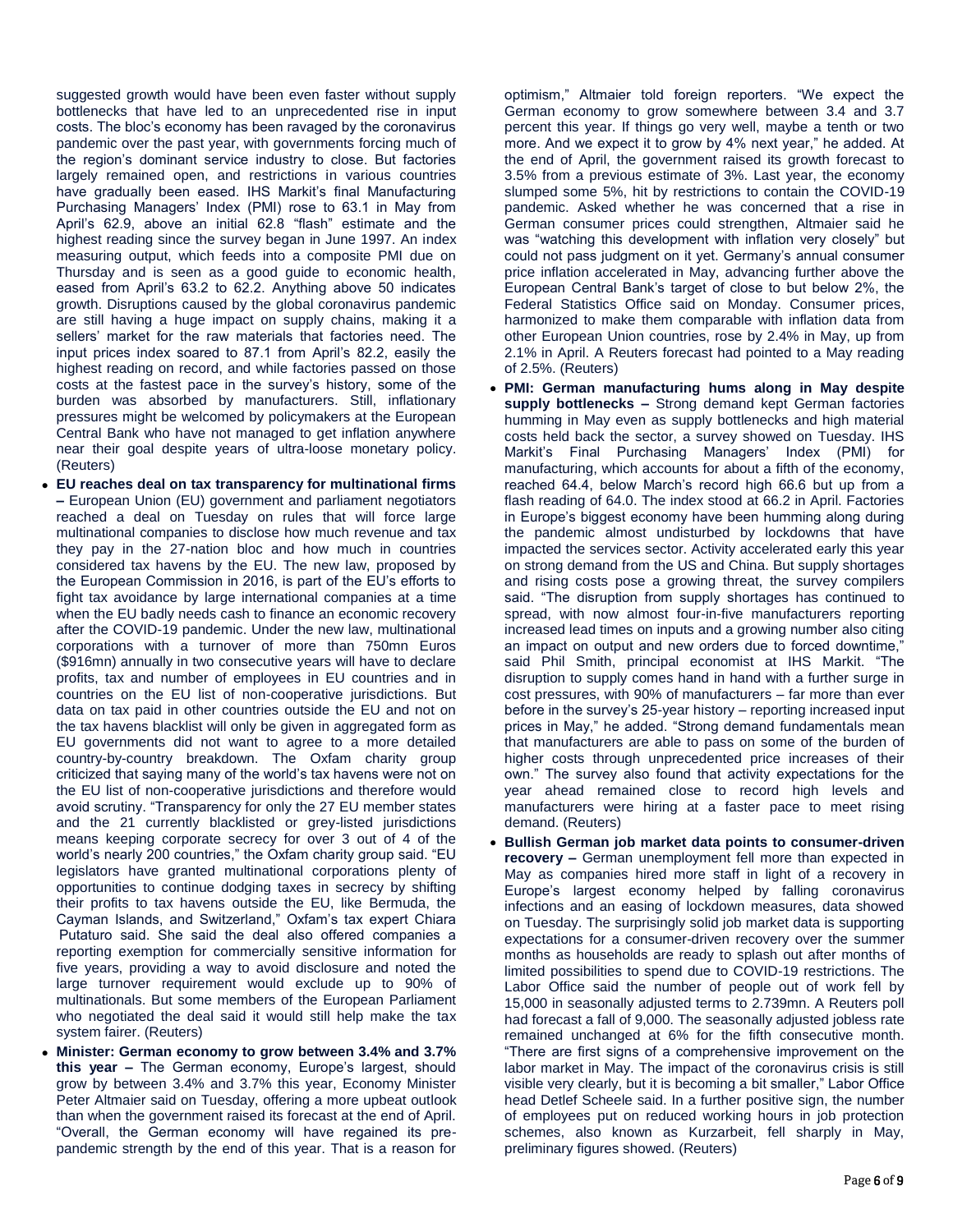suggested growth would have been even faster without supply bottlenecks that have led to an unprecedented rise in input costs. The bloc's economy has been ravaged by the coronavirus pandemic over the past year, with governments forcing much of the region's dominant service industry to close. But factories largely remained open, and restrictions in various countries have gradually been eased. IHS Markit's final Manufacturing Purchasing Managers' Index (PMI) rose to 63.1 in May from April's 62.9, above an initial 62.8 "flash" estimate and the highest reading since the survey began in June 1997. An index measuring output, which feeds into a composite PMI due on Thursday and is seen as a good guide to economic health, eased from April's 63.2 to 62.2. Anything above 50 indicates growth. Disruptions caused by the global coronavirus pandemic are still having a huge impact on supply chains, making it a sellers' market for the raw materials that factories need. The input prices index soared to 87.1 from April's 82.2, easily the highest reading on record, and while factories passed on those costs at the fastest pace in the survey's history, some of the burden was absorbed by manufacturers. Still, inflationary pressures might be welcomed by policymakers at the European Central Bank who have not managed to get inflation anywhere near their goal despite years of ultra-loose monetary policy. (Reuters)

- **EU reaches deal on tax transparency for multinational firms –** European Union (EU) government and parliament negotiators reached a deal on Tuesday on rules that will force large multinational companies to disclose how much revenue and tax they pay in the 27-nation bloc and how much in countries considered tax havens by the EU. The new law, proposed by the European Commission in 2016, is part of the EU's efforts to fight tax avoidance by large international companies at a time when the EU badly needs cash to finance an economic recovery after the COVID-19 pandemic. Under the new law, multinational corporations with a turnover of more than 750mn Euros (\$916mn) annually in two consecutive years will have to declare profits, tax and number of employees in EU countries and in countries on the EU list of non-cooperative jurisdictions. But data on tax paid in other countries outside the EU and not on the tax havens blacklist will only be given in aggregated form as EU governments did not want to agree to a more detailed country-by-country breakdown. The Oxfam charity group criticized that saying many of the world's tax havens were not on the EU list of non-cooperative jurisdictions and therefore would avoid scrutiny. "Transparency for only the 27 EU member states and the 21 currently blacklisted or grey-listed jurisdictions means keeping corporate secrecy for over 3 out of 4 of the world's nearly 200 countries," the Oxfam charity group said. "EU legislators have granted multinational corporations plenty of opportunities to continue dodging taxes in secrecy by shifting their profits to tax havens outside the EU, like Bermuda, the Cayman Islands, and Switzerland," Oxfam's tax expert Chiara  Putaturo said. She said the deal also offered companies a reporting exemption for commercially sensitive information for five years, providing a way to avoid disclosure and noted the large turnover requirement would exclude up to 90% of multinationals. But some members of the European Parliament who negotiated the deal said it would still help make the tax system fairer. (Reuters)
- **Minister: German economy to grow between 3.4% and 3.7% this year –** The German economy, Europe's largest, should grow by between 3.4% and 3.7% this year, Economy Minister Peter Altmaier said on Tuesday, offering a more upbeat outlook than when the government raised its forecast at the end of April. "Overall, the German economy will have regained its prepandemic strength by the end of this year. That is a reason for

optimism," Altmaier told foreign reporters. "We expect the German economy to grow somewhere between 3.4 and 3.7 percent this year. If things go very well, maybe a tenth or two more. And we expect it to grow by 4% next year," he added. At the end of April, the government raised its growth forecast to 3.5% from a previous estimate of 3%. Last year, the economy slumped some 5%, hit by restrictions to contain the COVID-19 pandemic. Asked whether he was concerned that a rise in German consumer prices could strengthen, Altmaier said he was "watching this development with inflation very closely" but could not pass judgment on it yet. Germany's annual consumer price inflation accelerated in May, advancing further above the European Central Bank's target of close to but below 2%, the Federal Statistics Office said on Monday. Consumer prices, harmonized to make them comparable with inflation data from other European Union countries, rose by 2.4% in May, up from 2.1% in April. A Reuters forecast had pointed to a May reading of 2.5%. (Reuters)

- **PMI: German manufacturing hums along in May despite supply bottlenecks –** Strong demand kept German factories humming in May even as supply bottlenecks and high material costs held back the sector, a survey showed on Tuesday. IHS Markit's Final Purchasing Managers' Index (PMI) for manufacturing, which accounts for about a fifth of the economy, reached 64.4, below March's record high 66.6 but up from a flash reading of 64.0. The index stood at 66.2 in April. Factories in Europe's biggest economy have been humming along during the pandemic almost undisturbed by lockdowns that have impacted the services sector. Activity accelerated early this year on strong demand from the US and China. But supply shortages and rising costs pose a growing threat, the survey compilers said. "The disruption from supply shortages has continued to spread, with now almost four-in-five manufacturers reporting increased lead times on inputs and a growing number also citing an impact on output and new orders due to forced downtime,' said Phil Smith, principal economist at IHS Markit. "The disruption to supply comes hand in hand with a further surge in cost pressures, with 90% of manufacturers – far more than ever before in the survey's 25-year history – reporting increased input prices in May," he added. "Strong demand fundamentals mean that manufacturers are able to pass on some of the burden of higher costs through unprecedented price increases of their own." The survey also found that activity expectations for the year ahead remained close to record high levels and manufacturers were hiring at a faster pace to meet rising demand. (Reuters)
- **Bullish German job market data points to consumer-driven recovery –** German unemployment fell more than expected in May as companies hired more staff in light of a recovery in Europe's largest economy helped by falling coronavirus infections and an easing of lockdown measures, data showed on Tuesday. The surprisingly solid job market data is supporting expectations for a consumer-driven recovery over the summer months as households are ready to splash out after months of limited possibilities to spend due to COVID-19 restrictions. The Labor Office said the number of people out of work fell by 15,000 in seasonally adjusted terms to 2.739mn. A Reuters poll had forecast a fall of 9,000. The seasonally adjusted jobless rate remained unchanged at 6% for the fifth consecutive month. "There are first signs of a comprehensive improvement on the labor market in May. The impact of the coronavirus crisis is still visible very clearly, but it is becoming a bit smaller," Labor Office head Detlef Scheele said. In a further positive sign, the number of employees put on reduced working hours in job protection schemes, also known as Kurzarbeit, fell sharply in May, preliminary figures showed. (Reuters)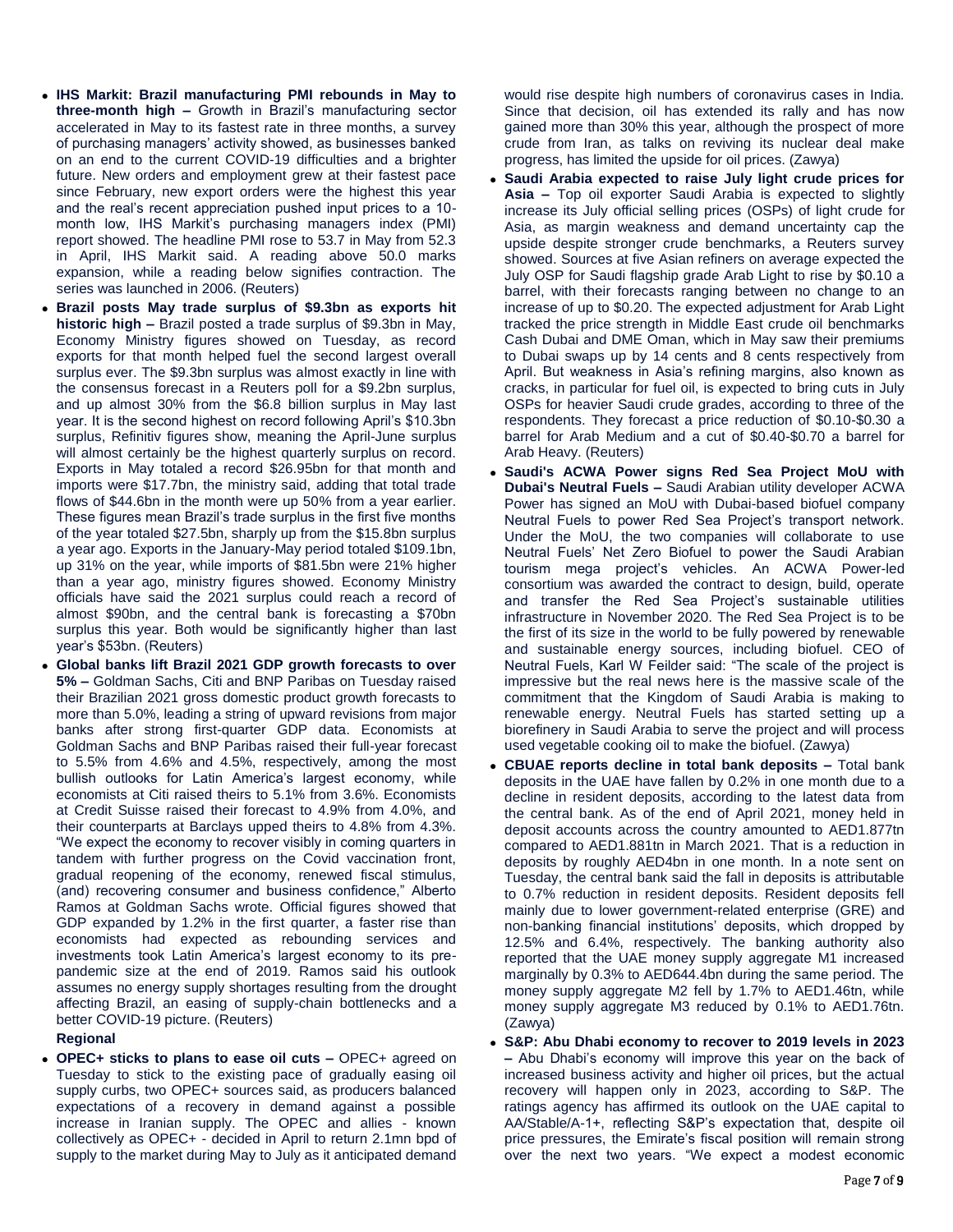- **IHS Markit: Brazil manufacturing PMI rebounds in May to three-month high –** Growth in Brazil's manufacturing sector accelerated in May to its fastest rate in three months, a survey of purchasing managers' activity showed, as businesses banked on an end to the current COVID-19 difficulties and a brighter future. New orders and employment grew at their fastest pace since February, new export orders were the highest this year and the real's recent appreciation pushed input prices to a 10 month low, IHS Markit's purchasing managers index (PMI) report showed. The headline PMI rose to 53.7 in May from 52.3 in April, IHS Markit said. A reading above 50.0 marks expansion, while a reading below signifies contraction. The series was launched in 2006. (Reuters)
- **Brazil posts May trade surplus of \$9.3bn as exports hit historic high –** Brazil posted a trade surplus of \$9.3bn in May, Economy Ministry figures showed on Tuesday, as record exports for that month helped fuel the second largest overall surplus ever. The \$9.3bn surplus was almost exactly in line with the consensus forecast in a Reuters poll for a \$9.2bn surplus, and up almost 30% from the \$6.8 billion surplus in May last year. It is the second highest on record following April's \$10.3bn surplus, Refinitiv figures show, meaning the April-June surplus will almost certainly be the highest quarterly surplus on record. Exports in May totaled a record \$26.95bn for that month and imports were \$17.7bn, the ministry said, adding that total trade flows of \$44.6bn in the month were up 50% from a year earlier. These figures mean Brazil's trade surplus in the first five months of the year totaled \$27.5bn, sharply up from the \$15.8bn surplus a year ago. Exports in the January-May period totaled \$109.1bn, up 31% on the year, while imports of \$81.5bn were 21% higher than a year ago, ministry figures showed. Economy Ministry officials have said the 2021 surplus could reach a record of almost \$90bn, and the central bank is forecasting a \$70bn surplus this year. Both would be significantly higher than last year's \$53bn. (Reuters)
- **Global banks lift Brazil 2021 GDP growth forecasts to over 5% –** Goldman Sachs, Citi and BNP Paribas on Tuesday raised their Brazilian 2021 gross domestic product growth forecasts to more than 5.0%, leading a string of upward revisions from major banks after strong first-quarter GDP data. Economists at Goldman Sachs and BNP Paribas raised their full-year forecast to 5.5% from 4.6% and 4.5%, respectively, among the most bullish outlooks for Latin America's largest economy, while economists at Citi raised theirs to 5.1% from 3.6%. Economists at Credit Suisse raised their forecast to 4.9% from 4.0%, and their counterparts at Barclays upped theirs to 4.8% from 4.3%. "We expect the economy to recover visibly in coming quarters in tandem with further progress on the Covid vaccination front, gradual reopening of the economy, renewed fiscal stimulus, (and) recovering consumer and business confidence," Alberto Ramos at Goldman Sachs wrote. Official figures showed that GDP expanded by 1.2% in the first quarter, a faster rise than economists had expected as rebounding services and investments took Latin America's largest economy to its prepandemic size at the end of 2019. Ramos said his outlook assumes no energy supply shortages resulting from the drought affecting Brazil, an easing of supply-chain bottlenecks and a better COVID-19 picture. (Reuters)

# **Regional**

 **OPEC+ sticks to plans to ease oil cuts –** OPEC+ agreed on Tuesday to stick to the existing pace of gradually easing oil supply curbs, two OPEC+ sources said, as producers balanced expectations of a recovery in demand against a possible increase in Iranian supply. The OPEC and allies - known collectively as OPEC+ - decided in April to return 2.1mn bpd of supply to the market during May to July as it anticipated demand would rise despite high numbers of coronavirus cases in India. Since that decision, oil has extended its rally and has now gained more than 30% this year, although the prospect of more crude from Iran, as talks on reviving its nuclear deal make progress, has limited the upside for oil prices. (Zawya)

- **Saudi Arabia expected to raise July light crude prices for Asia –** Top oil exporter Saudi Arabia is expected to slightly increase its July official selling prices (OSPs) of light crude for Asia, as margin weakness and demand uncertainty cap the upside despite stronger crude benchmarks, a Reuters survey showed. Sources at five Asian refiners on average expected the July OSP for Saudi flagship grade Arab Light to rise by \$0.10 a barrel, with their forecasts ranging between no change to an increase of up to \$0.20. The expected adjustment for Arab Light tracked the price strength in Middle East crude oil benchmarks Cash Dubai and DME Oman, which in May saw their premiums to Dubai swaps up by 14 cents and 8 cents respectively from April. But weakness in Asia's refining margins, also known as cracks, in particular for fuel oil, is expected to bring cuts in July OSPs for heavier Saudi crude grades, according to three of the respondents. They forecast a price reduction of \$0.10-\$0.30 a barrel for Arab Medium and a cut of \$0.40-\$0.70 a barrel for Arab Heavy. (Reuters)
- **Saudi's ACWA Power signs Red Sea Project MoU with Dubai's Neutral Fuels –** Saudi Arabian utility developer ACWA Power has signed an MoU with Dubai-based biofuel company Neutral Fuels to power Red Sea Project's transport network. Under the MoU, the two companies will collaborate to use Neutral Fuels' Net Zero Biofuel to power the Saudi Arabian tourism mega project's vehicles. An ACWA Power-led consortium was awarded the contract to design, build, operate and transfer the Red Sea Project's sustainable utilities infrastructure in November 2020. The Red Sea Project is to be the first of its size in the world to be fully powered by renewable and sustainable energy sources, including biofuel. CEO of Neutral Fuels, Karl W Feilder said: "The scale of the project is impressive but the real news here is the massive scale of the commitment that the Kingdom of Saudi Arabia is making to renewable energy. Neutral Fuels has started setting up a biorefinery in Saudi Arabia to serve the project and will process used vegetable cooking oil to make the biofuel. (Zawya)
- **CBUAE reports decline in total bank deposits –** Total bank deposits in the UAE have fallen by 0.2% in one month due to a decline in resident deposits, according to the latest data from the central bank. As of the end of April 2021, money held in deposit accounts across the country amounted to AED1.877tn compared to AED1.881tn in March 2021. That is a reduction in deposits by roughly AED4bn in one month. In a note sent on Tuesday, the central bank said the fall in deposits is attributable to 0.7% reduction in resident deposits. Resident deposits fell mainly due to lower government-related enterprise (GRE) and non-banking financial institutions' deposits, which dropped by 12.5% and 6.4%, respectively. The banking authority also reported that the UAE money supply aggregate M1 increased marginally by 0.3% to AED644.4bn during the same period. The money supply aggregate M2 fell by 1.7% to AED1.46tn, while money supply aggregate M3 reduced by 0.1% to AED1.76tn. (Zawya)
- **S&P: Abu Dhabi economy to recover to 2019 levels in 2023 –** Abu Dhabi's economy will improve this year on the back of increased business activity and higher oil prices, but the actual recovery will happen only in 2023, according to S&P. The ratings agency has affirmed its outlook on the UAE capital to AA/Stable/A-1+, reflecting S&P's expectation that, despite oil price pressures, the Emirate's fiscal position will remain strong over the next two years. "We expect a modest economic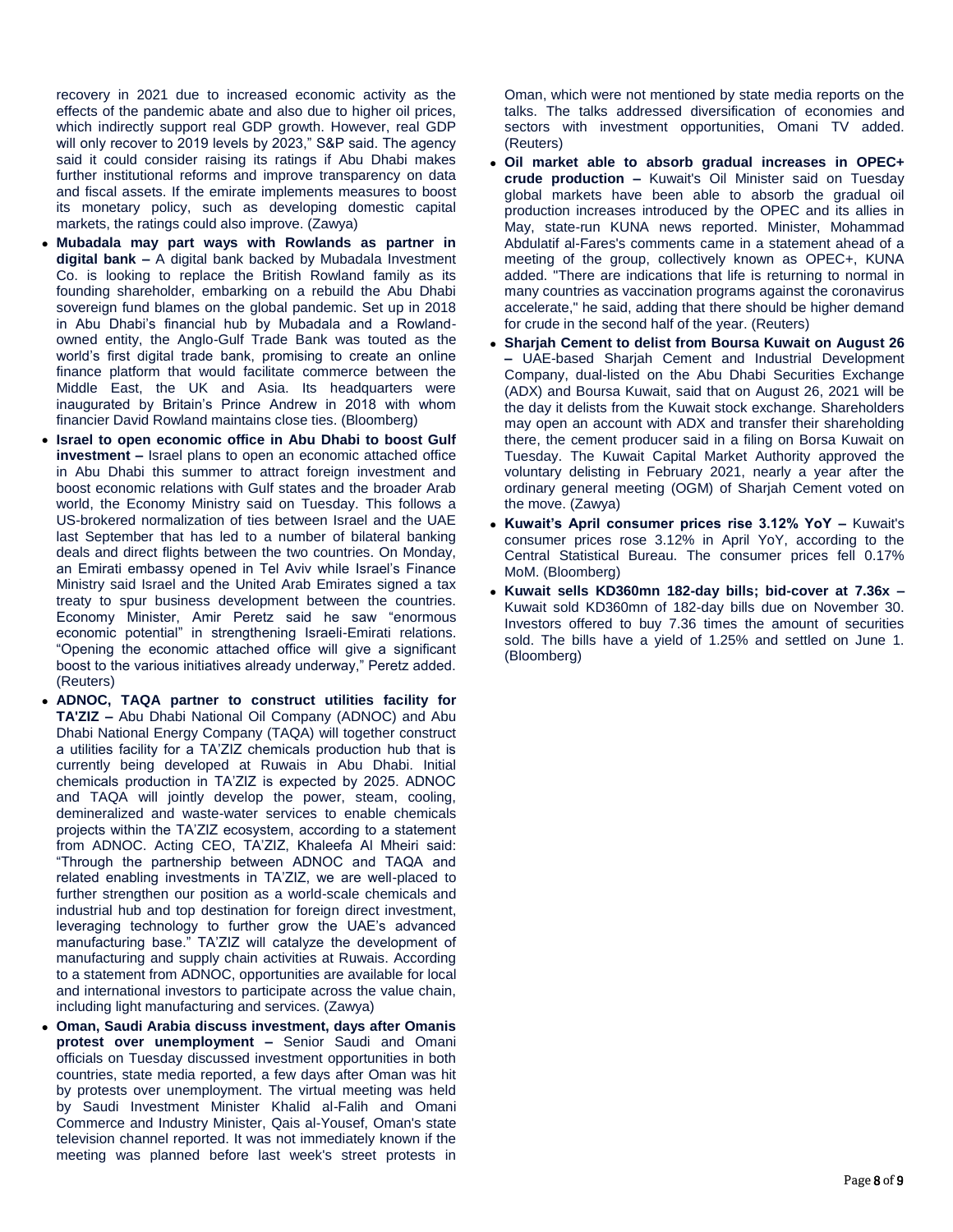recovery in 2021 due to increased economic activity as the effects of the pandemic abate and also due to higher oil prices, which indirectly support real GDP growth. However, real GDP will only recover to 2019 levels by 2023," S&P said. The agency said it could consider raising its ratings if Abu Dhabi makes further institutional reforms and improve transparency on data and fiscal assets. If the emirate implements measures to boost its monetary policy, such as developing domestic capital markets, the ratings could also improve. (Zawya)

- **Mubadala may part ways with Rowlands as partner in digital bank –** A digital bank backed by Mubadala Investment Co. is looking to replace the British Rowland family as its founding shareholder, embarking on a rebuild the Abu Dhabi sovereign fund blames on the global pandemic. Set up in 2018 in Abu Dhabi's financial hub by Mubadala and a Rowlandowned entity, the Anglo-Gulf Trade Bank was touted as the world's first digital trade bank, promising to create an online finance platform that would facilitate commerce between the Middle East, the UK and Asia. Its headquarters were inaugurated by Britain's Prince Andrew in 2018 with whom financier David Rowland maintains close ties. (Bloomberg)
- **Israel to open economic office in Abu Dhabi to boost Gulf investment –** Israel plans to open an economic attached office in Abu Dhabi this summer to attract foreign investment and boost economic relations with Gulf states and the broader Arab world, the Economy Ministry said on Tuesday. This follows a US-brokered normalization of ties between Israel and the UAE last September that has led to a number of bilateral banking deals and direct flights between the two countries. On Monday, an Emirati embassy opened in Tel Aviv while Israel's Finance Ministry said Israel and the United Arab Emirates signed a tax treaty to spur business development between the countries. Economy Minister, Amir Peretz said he saw "enormous economic potential" in strengthening Israeli-Emirati relations. "Opening the economic attached office will give a significant boost to the various initiatives already underway," Peretz added. (Reuters)
- **ADNOC, TAQA partner to construct utilities facility for TA'ZIZ –** Abu Dhabi National Oil Company (ADNOC) and Abu Dhabi National Energy Company (TAQA) will together construct a utilities facility for a TA'ZIZ chemicals production hub that is currently being developed at Ruwais in Abu Dhabi. Initial chemicals production in TA'ZIZ is expected by 2025. ADNOC and TAQA will jointly develop the power, steam, cooling, demineralized and waste-water services to enable chemicals projects within the TA'ZIZ ecosystem, according to a statement from ADNOC. Acting CEO, TA'ZIZ, Khaleefa Al Mheiri said: "Through the partnership between ADNOC and TAQA and related enabling investments in TA'ZIZ, we are well-placed to further strengthen our position as a world-scale chemicals and industrial hub and top destination for foreign direct investment, leveraging technology to further grow the UAE's advanced manufacturing base." TA'ZIZ will catalyze the development of manufacturing and supply chain activities at Ruwais. According to a statement from ADNOC, opportunities are available for local and international investors to participate across the value chain, including light manufacturing and services. (Zawya)
- **Oman, Saudi Arabia discuss investment, days after Omanis protest over unemployment –** Senior Saudi and Omani officials on Tuesday discussed investment opportunities in both countries, state media reported, a few days after Oman was hit by protests over unemployment. The virtual meeting was held by Saudi Investment Minister Khalid al-Falih and Omani Commerce and Industry Minister, Qais al-Yousef, Oman's state television channel reported. It was not immediately known if the meeting was planned before last week's street protests in

Oman, which were not mentioned by state media reports on the talks. The talks addressed diversification of economies and sectors with investment opportunities, Omani TV added. (Reuters)

- **Oil market able to absorb gradual increases in OPEC+ crude production –** Kuwait's Oil Minister said on Tuesday global markets have been able to absorb the gradual oil production increases introduced by the OPEC and its allies in May, state-run KUNA news reported. Minister, Mohammad Abdulatif al-Fares's comments came in a statement ahead of a meeting of the group, collectively known as OPEC+, KUNA added. "There are indications that life is returning to normal in many countries as vaccination programs against the coronavirus accelerate," he said, adding that there should be higher demand for crude in the second half of the year. (Reuters)
- **Sharjah Cement to delist from Boursa Kuwait on August 26 –** UAE-based Sharjah Cement and Industrial Development Company, dual-listed on the Abu Dhabi Securities Exchange (ADX) and Boursa Kuwait, said that on August 26, 2021 will be the day it delists from the Kuwait stock exchange. Shareholders may open an account with ADX and transfer their shareholding there, the cement producer said in a filing on Borsa Kuwait on Tuesday. The Kuwait Capital Market Authority approved the voluntary delisting in February 2021, nearly a year after the ordinary general meeting (OGM) of Sharjah Cement voted on the move. (Zawya)
- **Kuwait's April consumer prices rise 3.12% YoY –** Kuwait's consumer prices rose 3.12% in April YoY, according to the Central Statistical Bureau. The consumer prices fell 0.17% MoM. (Bloomberg)
- **Kuwait sells KD360mn 182-day bills; bid-cover at 7.36x –** Kuwait sold KD360mn of 182-day bills due on November 30. Investors offered to buy 7.36 times the amount of securities sold. The bills have a yield of 1.25% and settled on June 1. (Bloomberg)